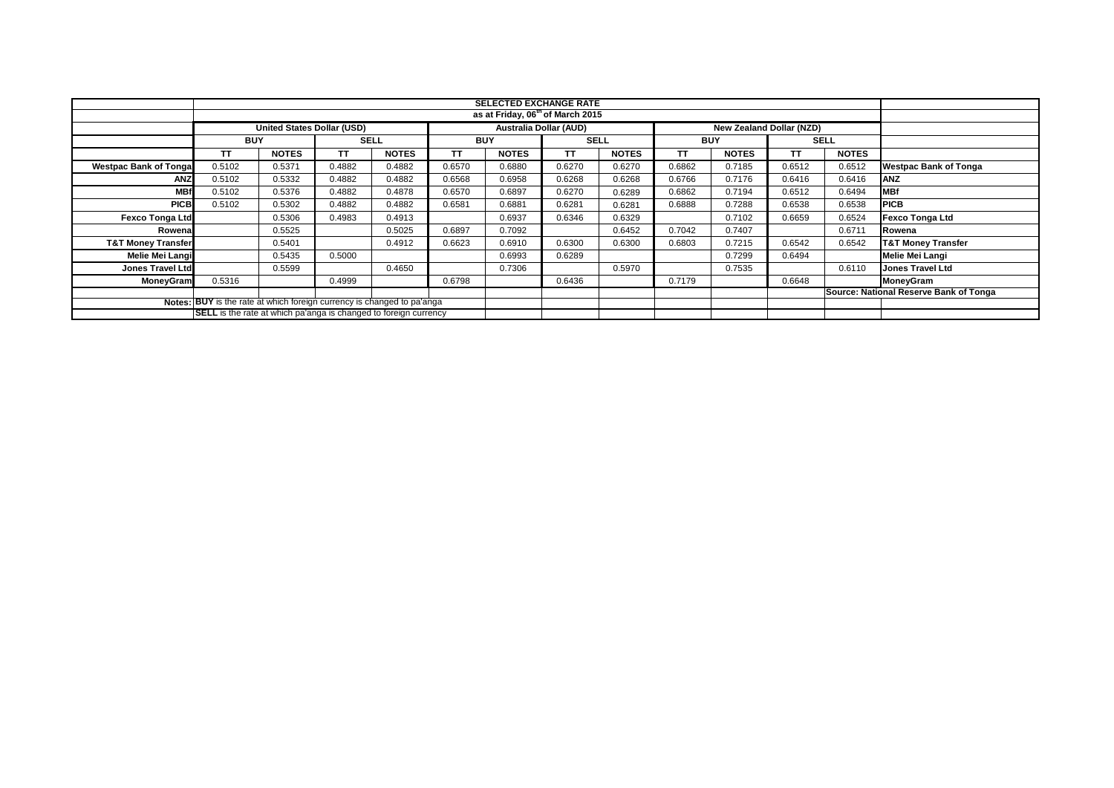|                                                                         | <b>SELECTED EXCHANGE RATE</b>                                                                  |              |             |              |            |              |             |              |            |              |             |              |                                        |
|-------------------------------------------------------------------------|------------------------------------------------------------------------------------------------|--------------|-------------|--------------|------------|--------------|-------------|--------------|------------|--------------|-------------|--------------|----------------------------------------|
|                                                                         | as at Friday, 06 <sup>th</sup> of March 2015                                                   |              |             |              |            |              |             |              |            |              |             |              |                                        |
|                                                                         | <b>Australia Dollar (AUD)</b><br><b>United States Dollar (USD)</b><br>New Zealand Dollar (NZD) |              |             |              |            |              |             |              |            |              |             |              |                                        |
|                                                                         | <b>BUY</b>                                                                                     |              | <b>SELL</b> |              | <b>BUY</b> |              | <b>SELL</b> |              | <b>BUY</b> |              | <b>SELL</b> |              |                                        |
|                                                                         | TΤ                                                                                             | <b>NOTES</b> | ΤT          | <b>NOTES</b> | TT.        | <b>NOTES</b> | <b>TT</b>   | <b>NOTES</b> | ТT         | <b>NOTES</b> | TΤ          | <b>NOTES</b> |                                        |
| <b>Westpac Bank of Tongal</b>                                           | 0.5102                                                                                         | 0.5371       | 0.4882      | 0.4882       | 0.6570     | 0.6880       | 0.6270      | 0.6270       | 0.6862     | 0.7185       | 0.6512      | 0.6512       | <b>Westpac Bank of Tonga</b>           |
| ANZ                                                                     | 0.5102                                                                                         | 0.5332       | 0.4882      | 0.4882       | 0.6568     | 0.6958       | 0.6268      | 0.6268       | 0.6766     | 0.7176       | 0.6416      | 0.6416       | <b>ANZ</b>                             |
| <b>MBf</b>                                                              | 0.5102                                                                                         | 0.5376       | 0.4882      | 0.4878       | 0.6570     | 0.6897       | 0.6270      | 0.6289       | 0.6862     | 0.7194       | 0.6512      | 0.6494       | <b>MBf</b>                             |
| <b>PICB</b>                                                             | 0.5102                                                                                         | 0.5302       | 0.4882      | 0.4882       | 0.6581     | 0.6881       | 0.6281      | 0.6281       | 0.6888     | 0.7288       | 0.6538      | 0.6538       | <b>PICB</b>                            |
| <b>Fexco Tonga Ltd</b>                                                  |                                                                                                | 0.5306       | 0.4983      | 0.4913       |            | 0.6937       | 0.6346      | 0.6329       |            | 0.7102       | 0.6659      | 0.6524       | <b>Fexco Tonga Ltd</b>                 |
| Rowenal                                                                 |                                                                                                | 0.5525       |             | 0.5025       | 0.6897     | 0.7092       |             | 0.6452       | 0.7042     | 0.7407       |             | 0.6711       | Rowena                                 |
| <b>T&amp;T Money Transfer</b>                                           |                                                                                                | 0.5401       |             | 0.4912       | 0.6623     | 0.6910       | 0.6300      | 0.6300       | 0.6803     | 0.7215       | 0.6542      | 0.6542       | <b>T&amp;T Money Transfer</b>          |
| <b>Melie Mei Langi</b>                                                  |                                                                                                | 0.5435       | 0.5000      |              |            | 0.6993       | 0.6289      |              |            | 0.7299       | 0.6494      |              | <b>Melie Mei Langi</b>                 |
| <b>Jones Travel Ltd</b>                                                 |                                                                                                | 0.5599       |             | 0.4650       |            | 0.7306       |             | 0.5970       |            | 0.7535       |             | 0.6110       | <b>Jones Travel Ltd</b>                |
| <b>MoneyGram</b>                                                        | 0.5316                                                                                         |              | 0.4999      |              | 0.6798     |              | 0.6436      |              | 0.7179     |              | 0.6648      |              | MoneyGram                              |
|                                                                         |                                                                                                |              |             |              |            |              |             |              |            |              |             |              | Source: National Reserve Bank of Tonga |
| Notes: BUY is the rate at which foreign currency is changed to pa'anga  |                                                                                                |              |             |              |            |              |             |              |            |              |             |              |                                        |
| <b>SELL</b> is the rate at which pa'anga is changed to foreign currency |                                                                                                |              |             |              |            |              |             |              |            |              |             |              |                                        |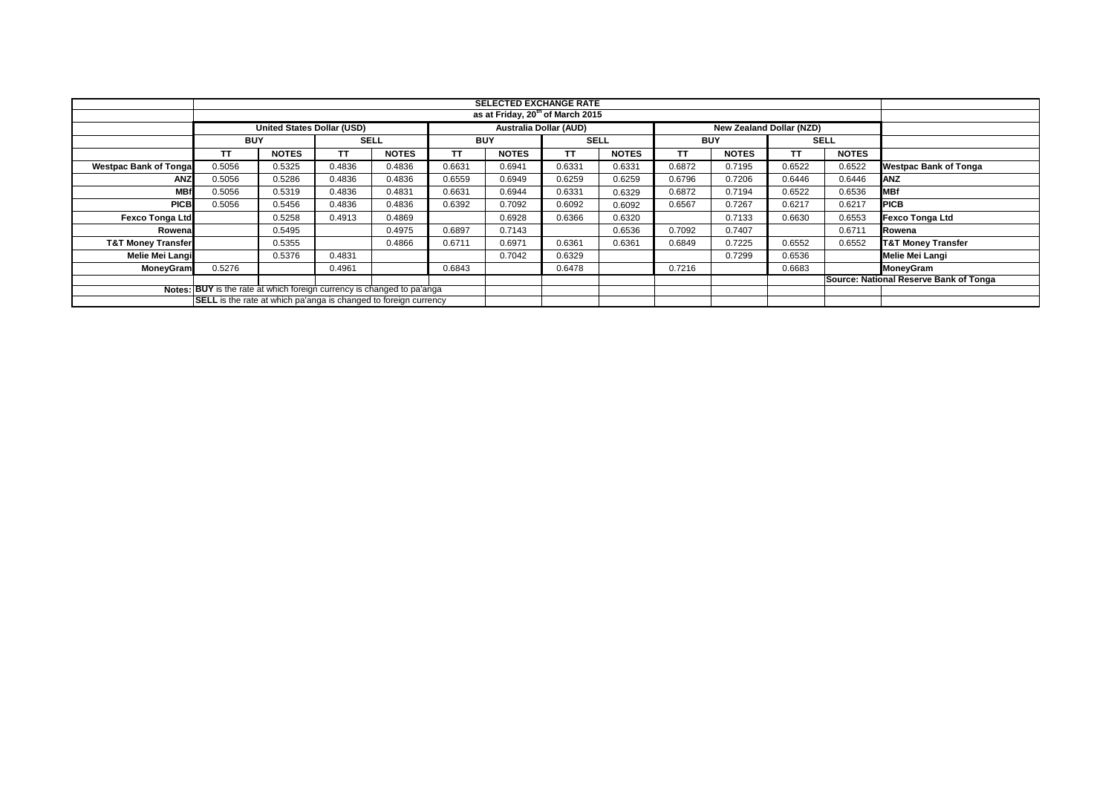|                                                                        | <b>SELECTED EXCHANGE RATE</b>                                    |                            |             |              |            |                               |             |              |            |              |                                 |              |                                                  |
|------------------------------------------------------------------------|------------------------------------------------------------------|----------------------------|-------------|--------------|------------|-------------------------------|-------------|--------------|------------|--------------|---------------------------------|--------------|--------------------------------------------------|
|                                                                        | as at Friday, 20 <sup>th</sup> of March 2015                     |                            |             |              |            |                               |             |              |            |              |                                 |              |                                                  |
|                                                                        |                                                                  | United States Dollar (USD) |             |              |            | <b>Australia Dollar (AUD)</b> |             |              |            |              | <b>New Zealand Dollar (NZD)</b> |              |                                                  |
|                                                                        | <b>BUY</b>                                                       |                            | <b>SELL</b> |              | <b>BUY</b> |                               | <b>SELL</b> |              | <b>BUY</b> |              | <b>SELL</b>                     |              |                                                  |
|                                                                        | TТ                                                               | <b>NOTES</b>               | <b>TT</b>   | <b>NOTES</b> | ТT         | <b>NOTES</b>                  | <b>TT</b>   | <b>NOTES</b> | TΤ         | <b>NOTES</b> | TΤ                              | <b>NOTES</b> |                                                  |
| <b>Westpac Bank of Tongal</b>                                          | 0.5056                                                           | 0.5325                     | 0.4836      | 0.4836       | 0.6631     | 0.6941                        | 0.6331      | 0.6331       | 0.6872     | 0.7195       | 0.6522                          | 0.6522       | <b>Westpac Bank of Tonga</b>                     |
| <b>ANZ</b>                                                             | 0.5056                                                           | 0.5286                     | 0.4836      | 0.4836       | 0.6559     | 0.6949                        | 0.6259      | 0.6259       | 0.6796     | 0.7206       | 0.6446                          | 0.6446       | <b>ANZ</b>                                       |
| <b>MBf</b>                                                             | 0.5056                                                           | 0.5319                     | 0.4836      | 0.4831       | 0.6631     | 0.6944                        | 0.6331      | 0.6329       | 0.6872     | 0.7194       | 0.6522                          | 0.6536       | <b>MBf</b>                                       |
| <b>PICB</b>                                                            | 0.5056                                                           | 0.5456                     | 0.4836      | 0.4836       | 0.6392     | 0.7092                        | 0.6092      | 0.6092       | 0.6567     | 0.7267       | 0.6217                          | 0.6217       | <b>PICB</b>                                      |
| <b>Fexco Tonga Ltd</b>                                                 |                                                                  | 0.5258                     | 0.4913      | 0.4869       |            | 0.6928                        | 0.6366      | 0.6320       |            | 0.7133       | 0.6630                          | 0.6553       | <b>Fexco Tonga Ltd</b>                           |
| Rowena                                                                 |                                                                  | 0.5495                     |             | 0.4975       | 0.6897     | 0.7143                        |             | 0.6536       | 0.7092     | 0.7407       |                                 | 0.6711       | Rowena                                           |
| <b>T&amp;T Money Transfer</b>                                          |                                                                  | 0.5355                     |             | 0.4866       | 0.6711     | 0.6971                        | 0.6361      | 0.6361       | 0.6849     | 0.7225       | 0.6552                          | 0.6552       | <b>T&amp;T Money Transfer</b>                    |
| Melie Mei Langi                                                        |                                                                  | 0.5376                     | 0.4831      |              |            | 0.7042                        | 0.6329      |              |            | 0.7299       | 0.6536                          |              | Melie Mei Langi                                  |
| MoneyGram                                                              | 0.5276                                                           |                            | 0.4961      |              | 0.6843     |                               | 0.6478      |              | 0.7216     |              | 0.6683                          |              | MoneyGram                                        |
|                                                                        |                                                                  |                            |             |              |            |                               |             |              |            |              |                                 |              | <b>Source: National Reserve Bank of Tongally</b> |
| Notes: BUY is the rate at which foreign currency is changed to pa'anga |                                                                  |                            |             |              |            |                               |             |              |            |              |                                 |              |                                                  |
|                                                                        | SELL is the rate at which pa'anga is changed to foreign currency |                            |             |              |            |                               |             |              |            |              |                                 |              |                                                  |